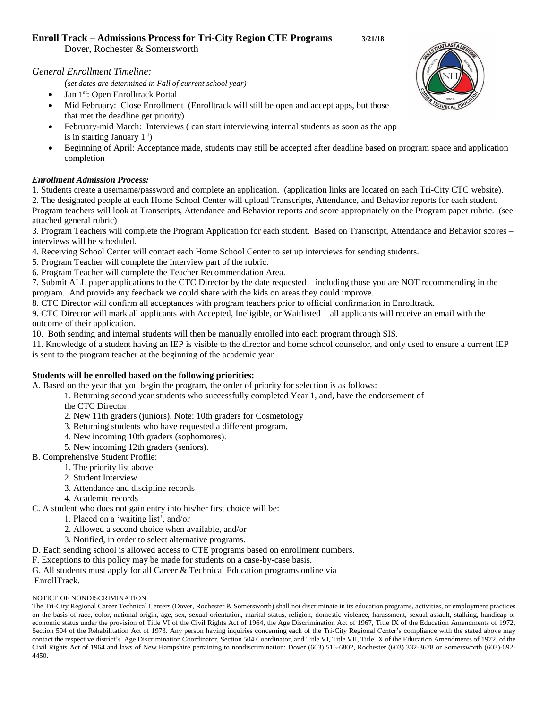# **Enroll Track – Admissions Process for Tri-City Region CTE Programs 3/21/18**

Dover, Rochester & Somersworth

*General Enrollment Timeline:*

*(set dates are determined in Fall of current school year)*

- Jan 1<sup>st</sup>: Open Enrolltrack Portal
- Mid February: Close Enrollment (Enrolltrack will still be open and accept apps, but those that met the deadline get priority)
- February-mid March: Interviews ( can start interviewing internal students as soon as the app is in starting January  $1<sup>st</sup>$ )
- Beginning of April: Acceptance made, students may still be accepted after deadline based on program space and application completion

### *Enrollment Admission Process:*

1. Students create a username/password and complete an application. (application links are located on each Tri-City CTC website).

2. The designated people at each Home School Center will upload Transcripts, Attendance, and Behavior reports for each student. Program teachers will look at Transcripts, Attendance and Behavior reports and score appropriately on the Program paper rubric. (see attached general rubric)

3. Program Teachers will complete the Program Application for each student. Based on Transcript, Attendance and Behavior scores – interviews will be scheduled.

- 4. Receiving School Center will contact each Home School Center to set up interviews for sending students.
- 5. Program Teacher will complete the Interview part of the rubric.

6. Program Teacher will complete the Teacher Recommendation Area.

7. Submit ALL paper applications to the CTC Director by the date requested – including those you are NOT recommending in the program. And provide any feedback we could share with the kids on areas they could improve.

8. CTC Director will confirm all acceptances with program teachers prior to official confirmation in Enrolltrack.

9. CTC Director will mark all applicants with Accepted, Ineligible, or Waitlisted – all applicants will receive an email with the outcome of their application.

10. Both sending and internal students will then be manually enrolled into each program through SIS.

11. Knowledge of a student having an IEP is visible to the director and home school counselor, and only used to ensure a current IEP is sent to the program teacher at the beginning of the academic year

### **Students will be enrolled based on the following priorities:**

A. Based on the year that you begin the program, the order of priority for selection is as follows:

- 1. Returning second year students who successfully completed Year 1, and, have the endorsement of
- the CTC Director.
- 2. New 11th graders (juniors). Note: 10th graders for Cosmetology
- 3. Returning students who have requested a different program.
- 4. New incoming 10th graders (sophomores).
- 5. New incoming 12th graders (seniors).
- B. Comprehensive Student Profile:
	- 1. The priority list above
	- 2. Student Interview
	- 3. Attendance and discipline records
	- 4. Academic records
- C. A student who does not gain entry into his/her first choice will be:
	- 1. Placed on a 'waiting list', and/or
	- 2. Allowed a second choice when available, and/or
	- 3. Notified, in order to select alternative programs.
- D. Each sending school is allowed access to CTE programs based on enrollment numbers.
- F. Exceptions to this policy may be made for students on a case-by-case basis.
- G. All students must apply for all Career & Technical Education programs online via
- EnrollTrack.

### NOTICE OF NONDISCRIMINATION

The Tri-City Regional Career Technical Centers (Dover, Rochester & Somersworth) shall not discriminate in its education programs, activities, or employment practices on the basis of race, color, national origin, age, sex, sexual orientation, marital status, religion, domestic violence, harassment, sexual assault, stalking, handicap or economic status under the provision of Title VI of the Civil Rights Act of 1964, the Age Discrimination Act of 1967, Title IX of the Education Amendments of 1972, Section 504 of the Rehabilitation Act of 1973. Any person having inquiries concerning each of the Tri-City Regional Center's compliance with the stated above may contact the respective district's Age Discrimination Coordinator, Section 504 Coordinator, and Title VI, Title VII, Title IX of the Education Amendments of 1972, of the Civil Rights Act of 1964 and laws of New Hampshire pertaining to nondiscrimination: Dover (603) 516-6802, Rochester (603) 332-3678 or Somersworth (603)-692- 4450.

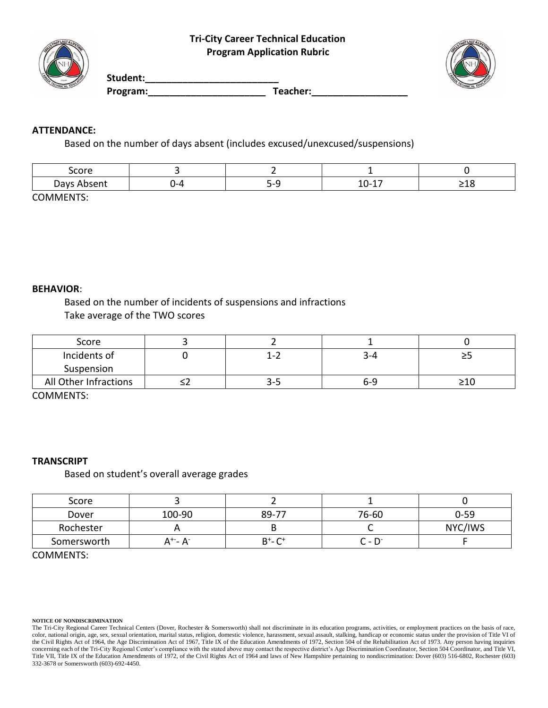

**Student:\_\_\_\_\_\_\_\_\_\_\_\_\_\_\_\_\_\_\_\_\_\_\_\_\_**  Program: Teacher:

# **ATTENDANCE:**

Based on the number of days absent (includes excused/unexcused/suspensions)

| core       |                                                                 |                     |            |
|------------|-----------------------------------------------------------------|---------------------|------------|
| ייר<br>--- | <br>$\overline{\phantom{0}}$<br>. .<br>$\sim$<br><b>SECTION</b> | -<br>.<br>∸∽<br>- - | ---<br>___ |

COMMENTS:

# **BEHAVIOR**:

Based on the number of incidents of suspensions and infractions Take average of the TWO scores

| Score                 |           |     |    |
|-----------------------|-----------|-----|----|
| Incidents of          | $\cdot$ . | 5-4 | -- |
| Suspension            |           |     |    |
| All Other Infractions | -≺−∷∡     | 6-9 |    |

COMMENTS:

## **TRANSCRIPT**

Based on student's overall average grades

| Score       |                       |               |                     |          |
|-------------|-----------------------|---------------|---------------------|----------|
| Dover       | 100-90                | 89-77         | 76-60               | $0 - 59$ |
| Rochester   |                       |               |                     | NYC/IWS  |
| Somersworth | \ +-<br>$-\Delta^{-}$ | $B^+$ - $C^+$ | n<br>$\blacksquare$ |          |

COMMENTS:

### **NOTICE OF NONDISCRIMINATION**

The Tri-City Regional Career Technical Centers (Dover, Rochester & Somersworth) shall not discriminate in its education programs, activities, or employment practices on the basis of race, color, national origin, age, sex, sexual orientation, marital status, religion, domestic violence, harassment, sexual assault, stalking, handicap or economic status under the provision of Title VI of the Civil Rights Act of 1964, the Age Discrimination Act of 1967, Title IX of the Education Amendments of 1972, Section 504 of the Rehabilitation Act of 1973. Any person having inquiries concerning each of the Tri-City Regional Center's compliance with the stated above may contact the respective district's Age Discrimination Coordinator, Section 504 Coordinator, and Title VI, Title VII, Title IX of the Education Amendments of 1972, of the Civil Rights Act of 1964 and laws of New Hampshire pertaining to nondiscrimination: Dover (603) 516-6802, Rochester (603) 332-3678 or Somersworth (603)-692-4450.